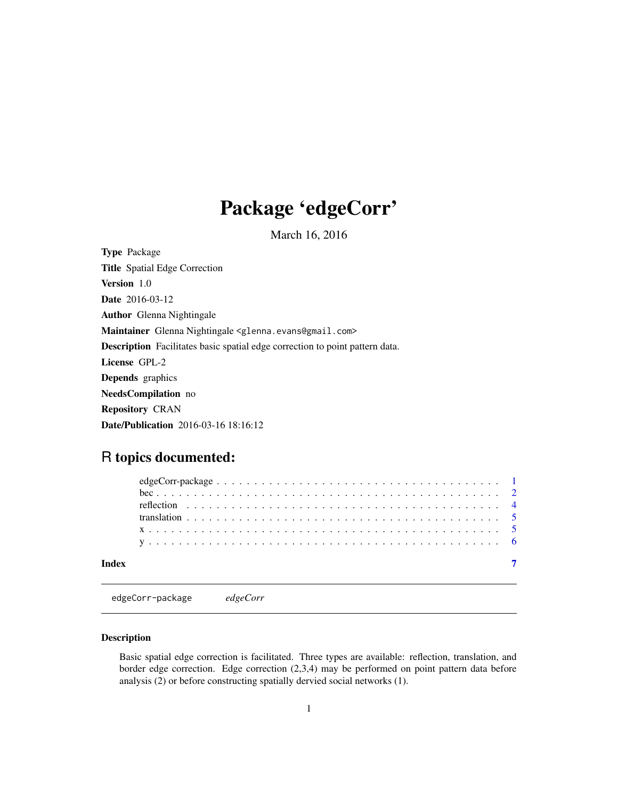## <span id="page-0-0"></span>Package 'edgeCorr'

March 16, 2016

Type Package Title Spatial Edge Correction Version 1.0 Date 2016-03-12 Author Glenna Nightingale Maintainer Glenna Nightingale <glenna.evans@gmail.com> Description Facilitates basic spatial edge correction to point pattern data. License GPL-2 Depends graphics NeedsCompilation no Repository CRAN Date/Publication 2016-03-16 18:16:12

### R topics documented:

edgeCorr-package *edgeCorr*

#### Description

Basic spatial edge correction is facilitated. Three types are available: reflection, translation, and border edge correction. Edge correction (2,3,4) may be performed on point pattern data before analysis (2) or before constructing spatially dervied social networks (1).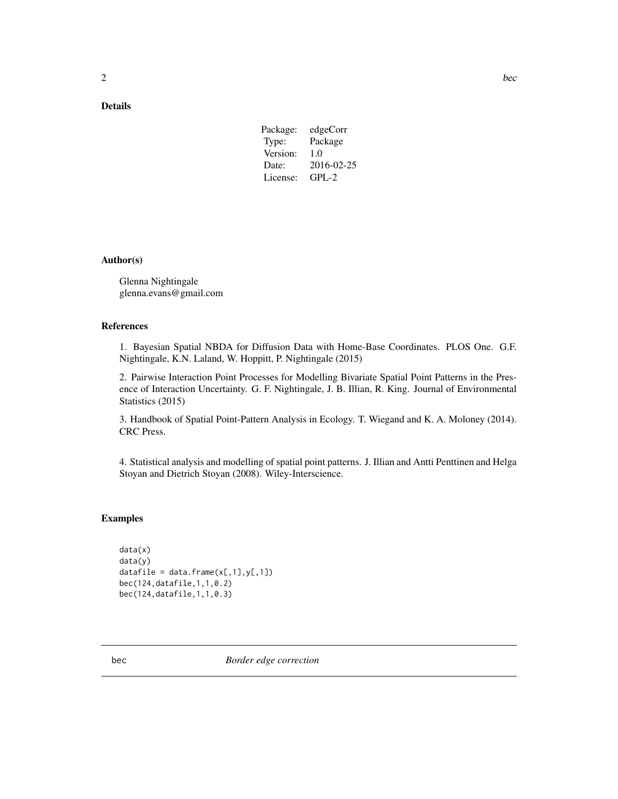#### <span id="page-1-0"></span>Details

| edgeCorr   |
|------------|
| Package    |
| 1.0        |
| 2016-02-25 |
| $GPI - 2$  |
|            |

#### Author(s)

Glenna Nightingale glenna.evans@gmail.com

#### References

1. Bayesian Spatial NBDA for Diffusion Data with Home-Base Coordinates. PLOS One. G.F. Nightingale, K.N. Laland, W. Hoppitt, P. Nightingale (2015)

2. Pairwise Interaction Point Processes for Modelling Bivariate Spatial Point Patterns in the Presence of Interaction Uncertainty. G. F. Nightingale, J. B. Illian, R. King. Journal of Environmental Statistics (2015)

3. Handbook of Spatial Point-Pattern Analysis in Ecology. T. Wiegand and K. A. Moloney (2014). CRC Press.

4. Statistical analysis and modelling of spatial point patterns. J. Illian and Antti Penttinen and Helga Stoyan and Dietrich Stoyan (2008). Wiley-Interscience.

#### Examples

```
data(x)
data(y)
datafile = data.frame(x[, 1], y[, 1])bec(124,datafile,1,1,0.2)
bec(124,datafile,1,1,0.3)
```
bec *Border edge correction*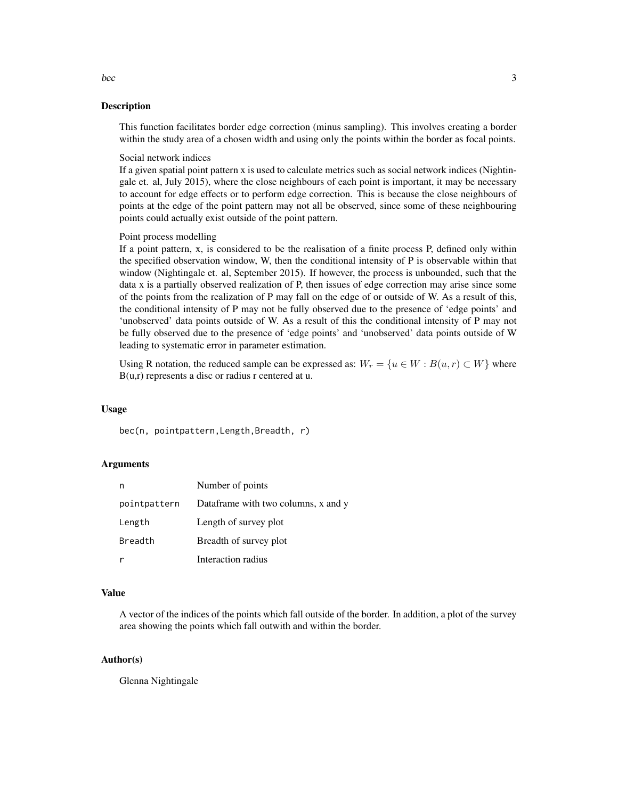#### Description

This function facilitates border edge correction (minus sampling). This involves creating a border within the study area of a chosen width and using only the points within the border as focal points.

Social network indices

If a given spatial point pattern x is used to calculate metrics such as social network indices (Nightingale et. al, July 2015), where the close neighbours of each point is important, it may be necessary to account for edge effects or to perform edge correction. This is because the close neighbours of points at the edge of the point pattern may not all be observed, since some of these neighbouring points could actually exist outside of the point pattern.

Point process modelling

If a point pattern, x, is considered to be the realisation of a finite process P, defined only within the specified observation window, W, then the conditional intensity of P is observable within that window (Nightingale et. al, September 2015). If however, the process is unbounded, such that the data x is a partially observed realization of P, then issues of edge correction may arise since some of the points from the realization of P may fall on the edge of or outside of W. As a result of this, the conditional intensity of P may not be fully observed due to the presence of 'edge points' and 'unobserved' data points outside of W. As a result of this the conditional intensity of P may not be fully observed due to the presence of 'edge points' and 'unobserved' data points outside of W leading to systematic error in parameter estimation.

Using R notation, the reduced sample can be expressed as:  $W_r = \{u \in W : B(u,r) \subset W\}$  where B(u,r) represents a disc or radius r centered at u.

#### Usage

bec(n, pointpattern,Length,Breadth, r)

#### Arguments

| n            | Number of points                    |
|--------------|-------------------------------------|
| pointpattern | Dataframe with two columns, x and y |
| Length       | Length of survey plot               |
| Breadth      | Breadth of survey plot              |
|              | Interaction radius                  |

#### Value

A vector of the indices of the points which fall outside of the border. In addition, a plot of the survey area showing the points which fall outwith and within the border.

#### Author(s)

Glenna Nightingale

bec 3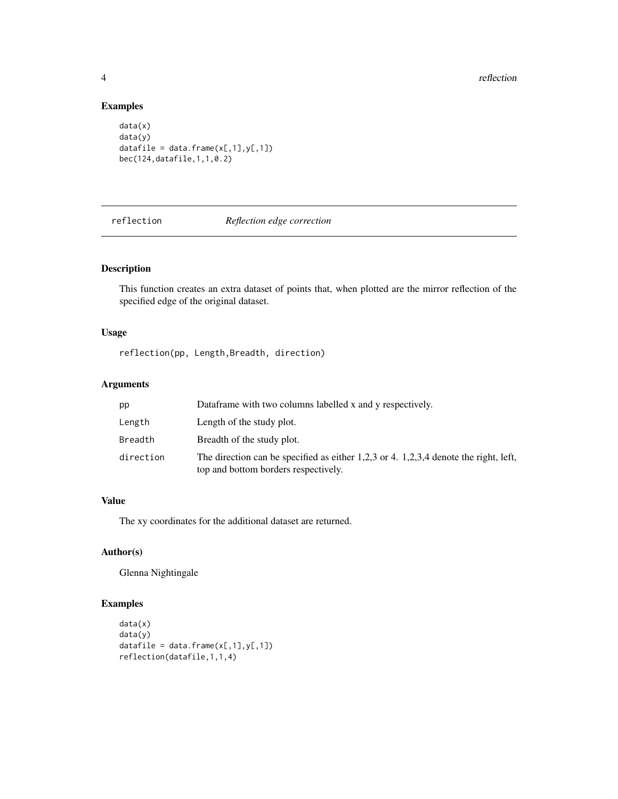#### Examples

```
data(x)
data(y)
datafile = data.frame(x[, 1], y[, 1])bec(124,datafile,1,1,0.2)
```
#### reflection *Reflection edge correction*

#### Description

This function creates an extra dataset of points that, when plotted are the mirror reflection of the specified edge of the original dataset.

#### Usage

reflection(pp, Length,Breadth, direction)

#### Arguments

| pp        | Dataframe with two columns labelled x and y respectively.                                                                    |
|-----------|------------------------------------------------------------------------------------------------------------------------------|
| Length    | Length of the study plot.                                                                                                    |
| Breadth   | Breadth of the study plot.                                                                                                   |
| direction | The direction can be specified as either 1,2,3 or 4. 1,2,3,4 denote the right, left,<br>top and bottom borders respectively. |

#### Value

The xy coordinates for the additional dataset are returned.

#### Author(s)

Glenna Nightingale

#### Examples

```
data(x)
data(y)
datafile = data.frame(x[, 1], y[, 1])reflection(datafile,1,1,4)
```
<span id="page-3-0"></span>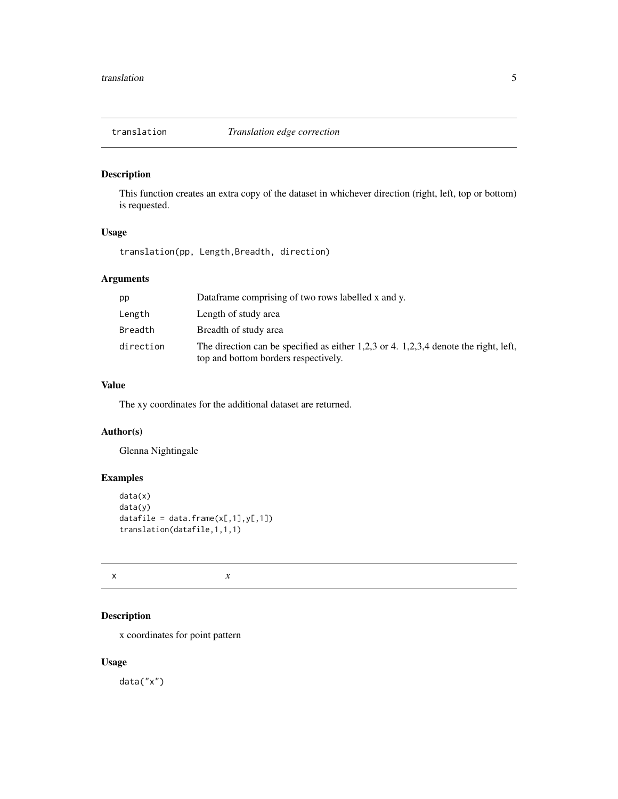<span id="page-4-0"></span>

#### Description

This function creates an extra copy of the dataset in whichever direction (right, left, top or bottom) is requested.

#### Usage

translation(pp, Length,Breadth, direction)

#### Arguments

| pp        | Dataframe comprising of two rows labelled x and y.                                                                               |
|-----------|----------------------------------------------------------------------------------------------------------------------------------|
| Length    | Length of study area                                                                                                             |
| Breadth   | Breadth of study area                                                                                                            |
| direction | The direction can be specified as either $1,2,3$ or 4. $1,2,3,4$ denote the right, left,<br>top and bottom borders respectively. |

#### Value

The xy coordinates for the additional dataset are returned.

#### Author(s)

Glenna Nightingale

#### Examples

```
data(x)
data(y)
datafile = data.frame(x[, 1], y[, 1])translation(datafile,1,1,1)
```
 $x \rightarrow x$ 

#### Description

x coordinates for point pattern

#### Usage

data("x")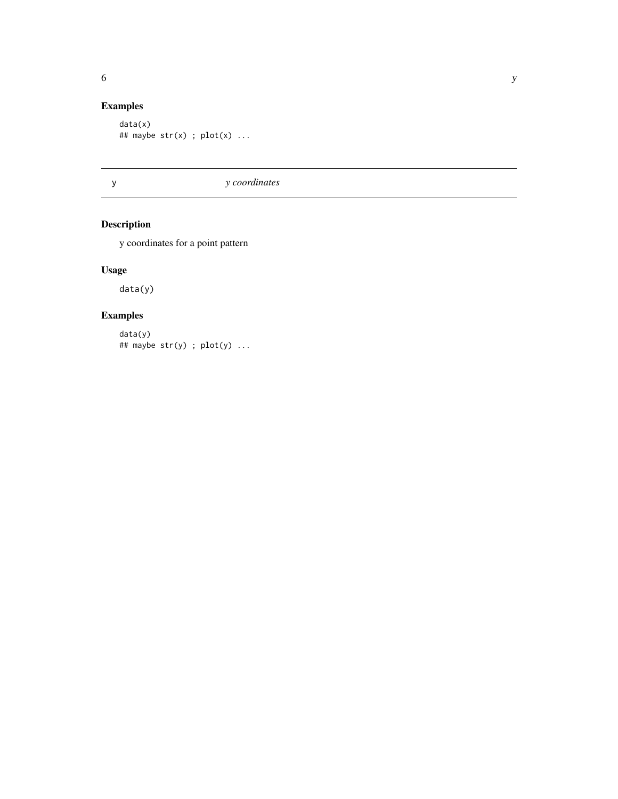#### <span id="page-5-0"></span>Examples

```
data(x)
## maybe str(x) ; plot(x) ...
```
y *y coordinates*

#### Description

y coordinates for a point pattern

#### Usage

data(y)

#### Examples

data(y) ## maybe  $str(y)$ ;  $plot(y)$ ...